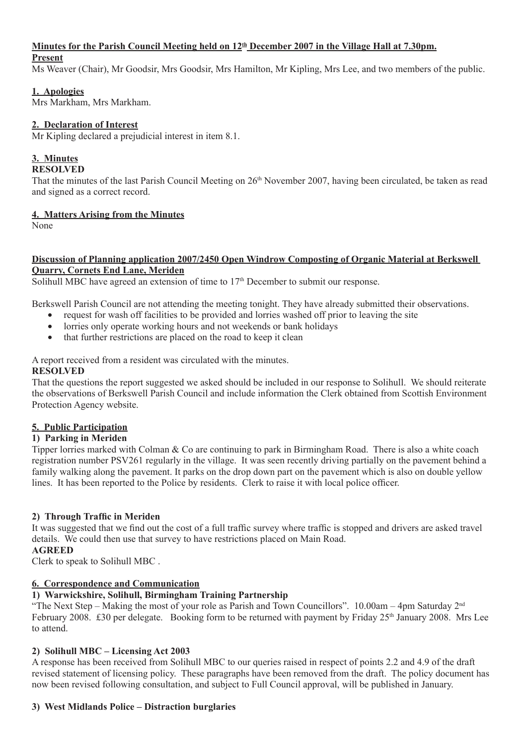# Minutes for the Parish Council Meeting held on  $12<sup>th</sup>$  December 2007 in the Village Hall at 7.30pm.

# **Present** Ms Weaver (Chair), Mr Goodsir, Mrs Goodsir, Mrs Hamilton, Mr Kipling, Mrs Lee, and two members of the public.

# **1. Apologies**

Mrs Markham, Mrs Markham.

# **2. Declaration of Interest**

Mr Kipling declared a prejudicial interest in item 8.1.

# **3. Minutes**

# **RESOLVED**

That the minutes of the last Parish Council Meeting on  $26<sup>th</sup>$  November 2007, having been circulated, be taken as read and signed as a correct record.

# **4. Matters Arising from the Minutes**

None

# **Discussion of Planning application 2007/2450 Open Windrow Composting of Organic Material at Berkswell Quarry, Cornets End Lane, Meriden**

Solihull MBC have agreed an extension of time to  $17<sup>th</sup>$  December to submit our response.

Berkswell Parish Council are not attending the meeting tonight. They have already submitted their observations.

- request for wash off facilities to be provided and lorries washed off prior to leaving the site
- lorries only operate working hours and not weekends or bank holidays
- that further restrictions are placed on the road to keep it clean

# A report received from a resident was circulated with the minutes.

# **RESOLVED**

That the questions the report suggested we asked should be included in our response to Solihull. We should reiterate the observations of Berkswell Parish Council and include information the Clerk obtained from Scottish Environment Protection Agency website.

# **5. Public Participation**

# **1) Parking in Meriden**

Tipper lorries marked with Colman & Co are continuing to park in Birmingham Road. There is also a white coach registration number PSV261 regularly in the village. It was seen recently driving partially on the pavement behind a family walking along the pavement. It parks on the drop down part on the pavement which is also on double yellow lines. It has been reported to the Police by residents. Clerk to raise it with local police officer.

# **2) Through Traffic in Meriden**

It was suggested that we find out the cost of a full traffic survey where traffic is stopped and drivers are asked travel details. We could then use that survey to have restrictions placed on Main Road.

# **AGREED**

Clerk to speak to Solihull MBC .

# **6. Correspondence and Communication**

# **1) Warwickshire, Solihull, Birmingham Training Partnership**

"The Next Step – Making the most of your role as Parish and Town Councillors". 10.00am – 4pm Saturday  $2<sup>nd</sup>$ February 2008. £30 per delegate. Booking form to be returned with payment by Friday 25<sup>th</sup> January 2008. Mrs Lee to attend.

# **2) Solihull MBC – Licensing Act 2003**

A response has been received from Solihull MBC to our queries raised in respect of points 2.2 and 4.9 of the draft revised statement of licensing policy. These paragraphs have been removed from the draft. The policy document has now been revised following consultation, and subject to Full Council approval, will be published in January.

# **3) West Midlands Police – Distraction burglaries**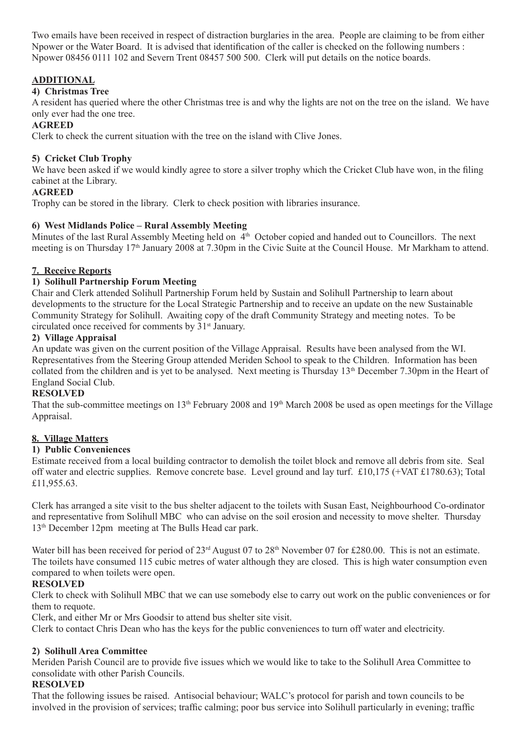Two emails have been received in respect of distraction burglaries in the area. People are claiming to be from either Npower or the Water Board. It is advised that identification of the caller is checked on the following numbers : Npower 08456 0111 102 and Severn Trent 08457 500 500. Clerk will put details on the notice boards.

# **ADDITIONAL**

### **4) Christmas Tree**

A resident has queried where the other Christmas tree is and why the lights are not on the tree on the island. We have only ever had the one tree.

#### **AGREED**

Clerk to check the current situation with the tree on the island with Clive Jones.

#### **5) Cricket Club Trophy**

We have been asked if we would kindly agree to store a silver trophy which the Cricket Club have won, in the filing cabinet at the Library.

#### **AGREED**

Trophy can be stored in the library. Clerk to check position with libraries insurance.

#### **6) West Midlands Police – Rural Assembly Meeting**

Minutes of the last Rural Assembly Meeting held on 4<sup>th</sup> October copied and handed out to Councillors. The next meeting is on Thursday 17<sup>th</sup> January 2008 at 7.30pm in the Civic Suite at the Council House. Mr Markham to attend.

#### **7. Receive Reports**

#### **1) Solihull Partnership Forum Meeting**

Chair and Clerk attended Solihull Partnership Forum held by Sustain and Solihull Partnership to learn about developments to the structure for the Local Strategic Partnership and to receive an update on the new Sustainable Community Strategy for Solihull. Awaiting copy of the draft Community Strategy and meeting notes. To be circulated once received for comments by 31st January.

#### **2) Village Appraisal**

An update was given on the current position of the Village Appraisal. Results have been analysed from the WI. Representatives from the Steering Group attended Meriden School to speak to the Children. Information has been collated from the children and is yet to be analysed. Next meeting is Thursday 13th December 7.30pm in the Heart of England Social Club.

#### **RESOLVED**

That the sub-committee meetings on 13<sup>th</sup> February 2008 and 19<sup>th</sup> March 2008 be used as open meetings for the Village Appraisal.

### **8. Village Matters**

#### **1) Public Conveniences**

Estimate received from a local building contractor to demolish the toilet block and remove all debris from site. Seal off water and electric supplies. Remove concrete base. Level ground and lay turf. £10,175 (+VAT £1780.63); Total £11,955.63.

Clerk has arranged a site visit to the bus shelter adjacent to the toilets with Susan East, Neighbourhood Co-ordinator and representative from Solihull MBC who can advise on the soil erosion and necessity to move shelter. Thursday 13th December 12pm meeting at The Bulls Head car park.

Water bill has been received for period of 23<sup>rd</sup> August 07 to 28<sup>th</sup> November 07 for £280.00. This is not an estimate. The toilets have consumed 115 cubic metres of water although they are closed. This is high water consumption even compared to when toilets were open.

#### **RESOLVED**

Clerk to check with Solihull MBC that we can use somebody else to carry out work on the public conveniences or for them to requote.

Clerk, and either Mr or Mrs Goodsir to attend bus shelter site visit.

Clerk to contact Chris Dean who has the keys for the public conveniences to turn off water and electricity.

#### **2) Solihull Area Committee**

Meriden Parish Council are to provide five issues which we would like to take to the Solihull Area Committee to consolidate with other Parish Councils.

# **RESOLVED**

That the following issues be raised. Antisocial behaviour; WALC's protocol for parish and town councils to be involved in the provision of services; traffic calming; poor bus service into Solihull particularly in evening; traffic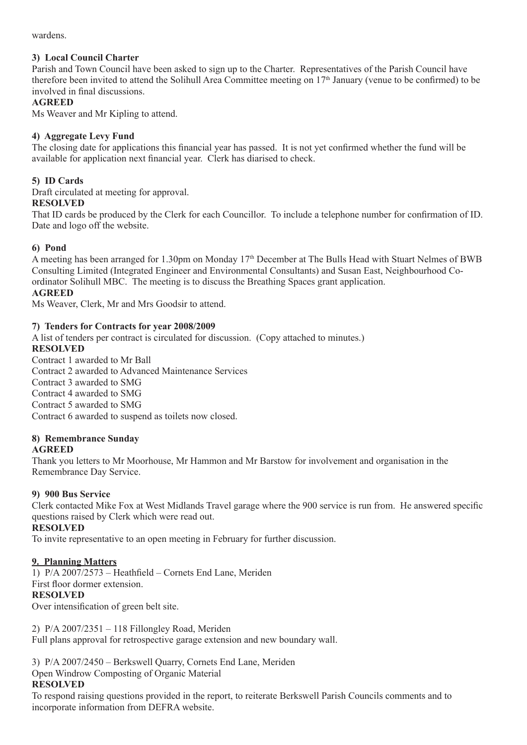wardens.

# **3) Local Council Charter**

Parish and Town Council have been asked to sign up to the Charter. Representatives of the Parish Council have therefore been invited to attend the Solihull Area Committee meeting on 17th January (venue to be confirmed) to be involved in final discussions.

# **AGREED**

Ms Weaver and Mr Kipling to attend.

# **4) Aggregate Levy Fund**

The closing date for applications this financial year has passed. It is not yet confirmed whether the fund will be available for application next financial year. Clerk has diarised to check.

# **5) ID Cards**

Draft circulated at meeting for approval.

### **RESOLVED**

That ID cards be produced by the Clerk for each Councillor. To include a telephone number for confirmation of ID. Date and logo off the website.

# **6) Pond**

A meeting has been arranged for 1.30pm on Monday 17<sup>th</sup> December at The Bulls Head with Stuart Nelmes of BWB Consulting Limited (Integrated Engineer and Environmental Consultants) and Susan East, Neighbourhood Coordinator Solihull MBC. The meeting is to discuss the Breathing Spaces grant application.

### **AGREED**

Ms Weaver, Clerk, Mr and Mrs Goodsir to attend.

# **7) Tenders for Contracts for year 2008/2009**

A list of tenders per contract is circulated for discussion. (Copy attached to minutes.)

# **RESOLVED**

Contract 1 awarded to Mr Ball Contract 2 awarded to Advanced Maintenance Services Contract 3 awarded to SMG Contract 4 awarded to SMG Contract 5 awarded to SMG Contract 6 awarded to suspend as toilets now closed.

# **8) Remembrance Sunday**

### **AGREED**

Thank you letters to Mr Moorhouse, Mr Hammon and Mr Barstow for involvement and organisation in the Remembrance Day Service.

### **9) 900 Bus Service**

Clerk contacted Mike Fox at West Midlands Travel garage where the 900 service is run from. He answered specific questions raised by Clerk which were read out.

### **RESOLVED**

To invite representative to an open meeting in February for further discussion.

### **9. Planning Matters**

1) P/A 2007/2573 – Heathfield – Cornets End Lane, Meriden First floor dormer extension.

### **RESOLVED**

Over intensification of green belt site.

2) P/A 2007/2351 – 118 Fillongley Road, Meriden

Full plans approval for retrospective garage extension and new boundary wall.

3) P/A 2007/2450 – Berkswell Quarry, Cornets End Lane, Meriden

Open Windrow Composting of Organic Material

### **RESOLVED**

To respond raising questions provided in the report, to reiterate Berkswell Parish Councils comments and to incorporate information from DEFRA website.